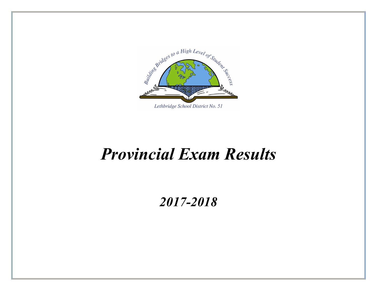

# *Provincial Exam Results*

### *2017-2018*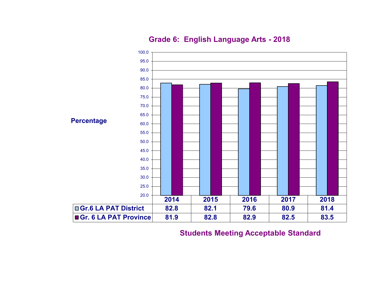

#### **Grade 6: English Language Arts - 2018**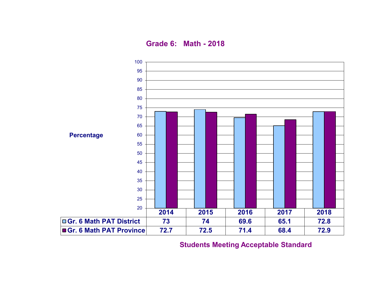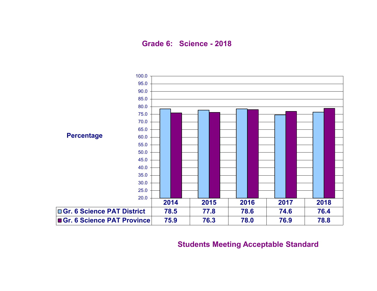**Grade 6: Science - 2018**

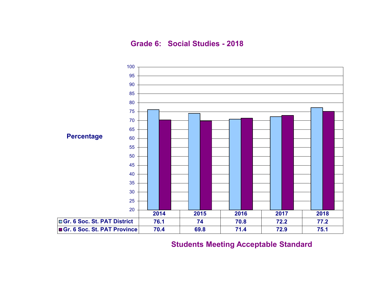**Grade 6: Social Studies - 2018**

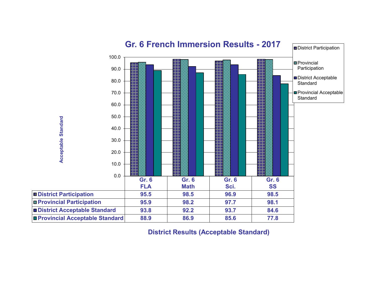

**District Results (Acceptable Standard)**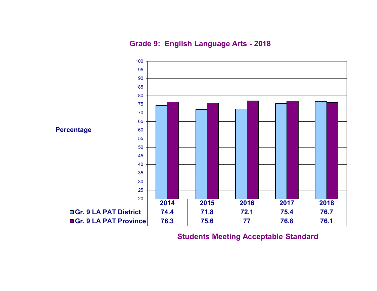**Grade 9: English Language Arts - 2018**

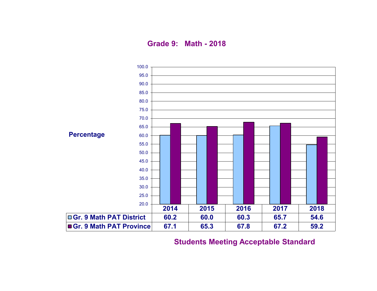**Grade 9: Math - 2018**

![](_page_7_Figure_1.jpeg)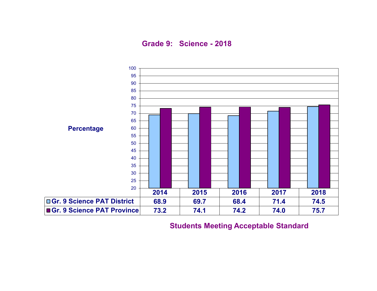**Grade 9: Science - 2018**

![](_page_8_Figure_1.jpeg)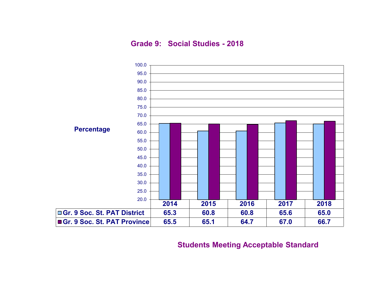**Grade 9: Social Studies - 2018**

![](_page_9_Figure_1.jpeg)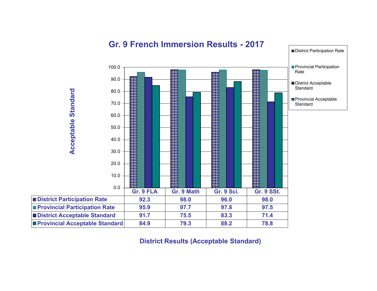![](_page_10_Figure_0.jpeg)

#### **Gr. 9 French Immersion Results - 2017**

**District Results (Acceptable Standard)**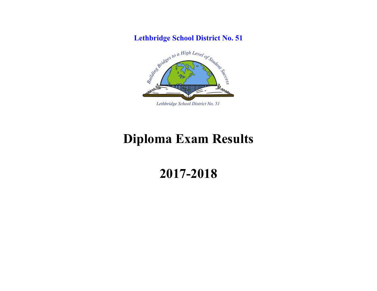**Lethbridge School District No. 51**

![](_page_11_Picture_1.jpeg)

## **Diploma Exam Results**

### **2017-2018**